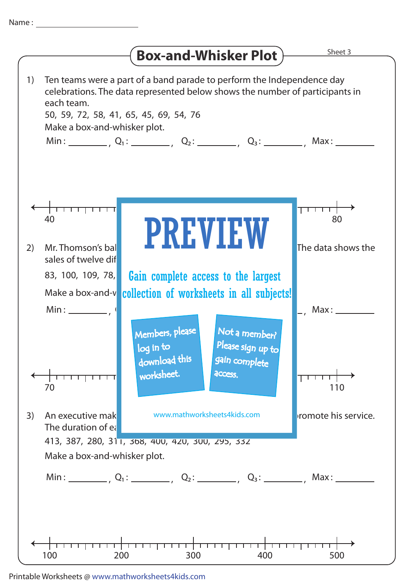